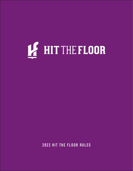# LE HIT THE FLOOR

**2022 HIT THE FLOOR RULES**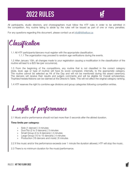# **2022 RULES**



All participants, studio directors, and choreographers must follow the HTF rules in order to be admitted in the competition. Any routine failing to abide by the rules will be issued as part of one or many penalties.

For any questions regarding this document, please contact us at **info@hitthefloor.ca** 

Classification

1.1 All HTF participants/dancers must register with the appropriate classification.

1.1.1 The organization may proceed to random age verifications during the events.

1.2 After January 15th, all changes made to your registration causing a modification in the classification of the routine will lead to a \$25 fee (per occurrence).

1.3 From the beginning of the competitions, any routine that is not classified in the correct category (style, level, age or type of routine) will have its score compared, internally, to the appropriate category. The routine cannot be selected as Hit of the Day and will not be mentioned during the award ceremony. The dancers will receive their results and judge's comments and will be eligible for Overall scholarships. Trophies/medals/ribbons can be claimed at the Director's Table. This will not affect the original category ranking.

1.4 HTF reserves the right to combine age divisions and group categories following competition entries.

Length of performance

2.1 Music and/or performance should not last more than 5 seconds after the alloted duration.

# **Time limits per category:**

- » Solo (1 dancer) | 3 minutes
- » Duo/Trio (2 to 3 dancers) | 3 minutes
- » Small Group (4 to 9 dancers) | 4 minutes
- » Large Group (10 to 15 dancers) | 4 minutes
- » Production (16 dancers and more) | 8 minutes

2.2 If the music and/or the performance exceeds over 1 minute the duration allowed, HTF will stop the music.

2.3 There is no minimum duration for the music/performance.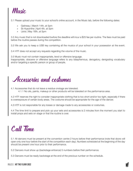

3.1 Please upload your music to your school's online account, in the Music tab, before the following dates:

- » Gatineau | March 14th, at 5pm
- » St-Hyacinthe | April 4th, at 5pm
- » Lévis | May 16th, at 5pm

3.2 Any music that is not downloaded bwfore the deadline will incur a \$25 fee per routine. The fees must be paid before the routine passes during the competition.

3.3 We ask you to keep a USB key containing all the musics of your school in your possession at the event.

3.4 HTF does not accept any requests regarding the volume of the music.

3.5 Music must not contain inappropriate, lewd or offensive language.

Inappropriate, obscene or offensive language refers to any blasphemous, derogatory, denigrating vocabulary and/or targeting a specific person or group of people.

Accessories and costumes

4.1 Accessories that do not leave a residue onstage are tolerated. 4.1.1 No oils, paints, makeup or other products will be tolerated on the performance area.

4.2 HTF reserves the right to consider inappropriate clothing that is too short and/or too tight, especially if there is overexposure of certain body areas. The costume should be appropriate for the age of the dancer.

4.3 HTF is not responsible for any losses or damage made to any accessories or costumes.

4.4 The time limit to prepare and pick up your sets and accessories is 2 minutes from the moment you start to install props and sets on stage or that the routine is over.

# Call Time

5.1 All dancers must be present at the convention centre 2 hours before their performance (note that doors will open only one hour before the start of the competition each day). Numbers scheduled at the beginning of the day should be present one hour prior to their performance.

5.2 Dancers must show up (backstage entrance) 5 numbers before their performance.

5.3 Dancers must be ready backstage at the end of the previous number on the schedule.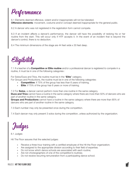Performance

6.1 Elements deemed offensive, violent and/or inappropriate will not be tolerated. **Offensive elements:** movement, costume and/or concept deemed inappropriate for the general public.

6.2 A dancer who was not registered in the registration form cannot compete.

6.3 If an incident affects a dancer's performance, the dancer will have the possibility of redoing his or her routine from the start. This will occur only if HTF accepts it. In the event of an incident that is beyond the dancer's control, there is no deduction.

6.4 The minimum dimensions of the stage are 44 feet wide x 30 feet deep.

Eligibility

7.1 If a teacher of a **Competitive or Elite routine** and/or a professional dancer is registered to compete in a routine, it must be in one of the following categories :

For Solos/Duos and Trios, the routine must be in the "**Elite**" category.

For Groups and Productions, the routine must be in one of the following categories:

- » **Competitive**: if 75% of the group has less than 6 years of training.
- » **Elite**: if 75% of the group has 6 years or more of training.

7.2 For **Solos**, a dancer cannot perform more than one routine in the same category.

**Duos and Trios** cannot have a routine in the same category where there are more than 50% of dancers who are part of another routine in the same category.

**Groups and Productions** cannot have a routine in the same category where there are more than 85% of dancers who are part of another routine in the same category.

7.3 Each number may only be presented once during the competition.

7.4 Each dancer may only present 3 solos during the competition, unless authorized by the organization.

Judges

8.1 Judges

Hit The Floor assures that the selected judges:

- » Receive a three-hour training with a certified employee of the Hit the Floor organization;
- » Are assigned to the appropriate division according to their field of expertise;
- » Do not know which dance schools are associated with each routine;
- » Are not choreographers of one of the competition's routines;
- » Do not receive recurring remuneration from a participating dance school.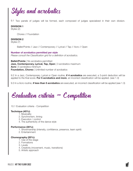

9.1 Two panels of judges will be formed, each composed of judges specialized in their own division.

# **DIVISION 1**

Styles (2)

Choreo // Foundation

**DIVISION 2** Styles (7)

Ballet/Pointe // Jazz // Contemporary // Lyrical // Tap // Acro // Open

**Number of acrobatics permitted per style** *Please consult the Classification grid for a definition of acrobatics.*

**Ballet/Pointe** | No acrobatics permitted **Jazz, Contemporary, Lyrical, Tap, Open** | 3 acrobatics maximum **Acro** | 5 acrobatics minimum **Foundation, Choreo** | Unlimited number of acrobatics

9.2 In a Jazz, Contemporary, Lyrical or Open routine, **if 4 acrobatics** are executed, a 3-point deduction will be applied to the final score. **For 5 acrobatics and more**, an incorrect classification will be applied. (see 1.3)

9.3 In a Acro routine, **if less than 5 acrobatics** are executed, an incorrect classification will be applied (see 1.3)

Evaluation criteria - Competition

10.1 Evaluation criteria - Competition

# **Technique (45%):**

- 1. Musicality
- 2. Synchronism, timing
- 3. Execution / control
- 4. The authenticity of the dance style

# **Performance (35%):**

- 1. Showmanship (intensity, confidence, presence, team spirit)
- 2. Entertainment

# **Choreography (20%):**

- 1. Use of the stage
- 2. Formations
- 3. Levels
- 4. Creativity (movement, music, transitions)
- 5. Artistic approach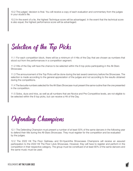10.2 The judges' decision is final. You will receive a copy of each evaluation and commentary from the judges in your studio's file.

10.3 In the event of a tie, the highest Technique score will be advantaged. In the event that the technical score is also equal, the highest performance score will be advantaged.

Selection of the Top Picks

11.1 For each competition block, there will be a minimum of 4 Hits of the Day that are chosen as numbers that stood out from the performances in a competition segment.

11.2 Hits of the Day will have the chance to be selected within the 8 top picks participating in the All-Stars Showcase.

11.3 The announcement of the Top Picks will be done during the last award ceremony before the Showcase. The selection is made according to the general appreciation of the judges and not according to the results obtained during the competitions.

11.4 The favourite numbers selected for the All-Stars Showcase must present the same routine than the one presented in the competition.

11.5 Solos, duos and trios, as well as all numbers that are Novice and Pre-Competitive levels, are not eligible to be selected within the 8 top picks, but can receive a Hit of the Day.

Defending Champions

12.1 The Defending Champion must present a number of at least 50% of the same dancers in the following year to defend their title during the All-Stars Showcase. They must register for the competition and be evaluated by the judges.

12.2 The 2022 Hit The Floor Gatineau and St-Hyacinthe Showcases Champions will receive an assured participation to the 2022 Hit The Floor Lévis Showcase. However, they will have to register and perform in the competition in their respective category. The group must be constitued of at least 80% of the same dancers and the same music must be used.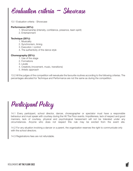

13.1 Evaluation criteria - Showcase

## **Performance (40%):**

- 1. Showmanship (intensity, confidence, presence, team spirit)
- 2. Entertainment

## **Technique (35%):**

- 1. Musicality
- 2. Synchronism, timing
- 3. Execution / control
- 4. The authenticity of the dance style

# **Choreography (25%):**

- 1. Use of the stage
- 2. Formations
- 3. Levels
- 4. Creativity (movement, music, transitions)
- 5. Artistic approach

13.2 All the judges of the competition will reevaluate the favourite routines according to the following criterias. The percentages allocated for Technique and Performance are not the same as during the competition.

Participant Policy

14.1 Every participant, school director, dancer, choreographer or spectator must have a responsible behaviour and must speak with courtesy during the Hit The Floor events. Impoliteness, lack of respect and good manners, lack of courtesy, physical and psychological harassment will not be tolerated under any circumstances. Anyone who does not respect this rule may be evicted from the event site.

14.2 For any situation involving a dancer or a parent, the organization reserves the right to communicate only with the school directors.

14.3 Registrations fees are not refundable.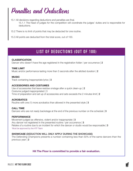Penalties and Deductions

15.1 All decisions regarding deductions and penalties are final.

15.1.1 The head of judges for the competition will coordinate the judges' duties and is responsible for deductions.

- 15.2 There is no limit of points that may be deducted for one routine.
- 15.3 All points are deducted from the total score, out of 100.

# **LIST OF DEDUCTIONS (OUT OF 100)**

# **CLASSIFICATION**

Dancer who doesn't have the age registered in the registration folder / per occurrence | 2

# **TIME LIMIT**

Music and/or performance lasting more than 5 seconds after the allotted duration | 2

# **MUSIC**

Track containing inappropriate lyrics | 3

# **ACCESSORIES AND COSTUMES**

Use of accessories that leave residue onstage after a quick clean-up | 2 Costume judged inappropriated | 3 Time of preparation and set up of accessories and sets exceeds the 2 minutes limit | 2

# **ACROBATICS**

Routine with one (1) more acrobatics than allowed in the presented style | 3

# **CALL TIME** Dancers who are not ready backstage at the end of the previous number on the schedule  $\vert 3 \rangle$

# **PERFORMANCE**

Movement judged as offensive, violent and/or inappropriate | 3 Any dancer not registered in the presented routine / per occurrence | 3 Retake of a routine due to an incident for which the dancer or studio would be responsable | 3 \*Must be approved by the HTF Team

# **SHOWCASE** (DEDUCTION WILL ONLY APPLY DURING THE SHOWCASE)

The Defending Champions presents a number containing less than 50% of the same dancers than the previous year | 2

# **Hit The Floor is committed to provide a fair evaluation.**